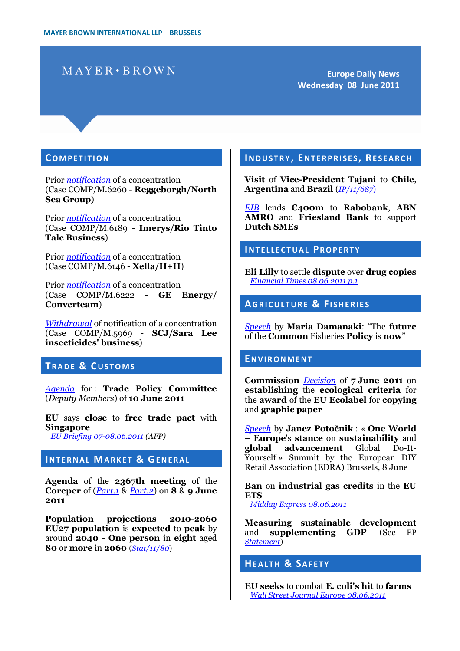# $MAYER \cdot BROWN$

**Europe Daily News Wednesday 08 June 2011**

#### **CO M P E T I T I O N**

Prior *[notification](http://eur-lex.europa.eu/LexUriServ/LexUriServ.do?uri=OJ:C:2011:168:0014:0014:EN:PDF)* of a concentration (Case COMP/M.6260 - **Reggeborgh/North Sea Group**)

Prior *[notification](http://eur-lex.europa.eu/LexUriServ/LexUriServ.do?uri=OJ:C:2011:168:0015:0015:EN:PDF)* of a concentration (Case COMP/M.6189 - **Imerys/Rio Tinto Talc Business**)

Prior *[notification](http://eur-lex.europa.eu/LexUriServ/LexUriServ.do?uri=OJ:C:2011:168:0016:0016:EN:PDF)* of a concentration (Case COMP/M.6146 - **Xella/H+H**)

Prior *[notification](http://eur-lex.europa.eu/LexUriServ/LexUriServ.do?uri=OJ:C:2011:168:0017:0017:EN:PDF)* of a concentration (Case COMP/M.6222 - **GE Energy/ Converteam**)

*[Withdrawal](http://eur-lex.europa.eu/LexUriServ/LexUriServ.do?uri=OJ:C:2011:168:0018:0018:EN:PDF)* of notification of a concentration (Case COMP/M.5969 - **SCJ/Sara Lee insecticides' business**)

## **TRADE & CUSTOMS**

*[Agenda](http://register.consilium.europa.eu/pdf/en/11/cm03/cm03306.en11.pdf)* for : **Trade Policy Committee** (*Deputy Members*) of **10 June 2011**

**EU** says **close** to **free trade pact** with **Singapore** *[EU Briefing 07-08.06.2011](http://abcnews.go.com/Business/wireStory?id=13788981) (AFP)*

## **INTERNAL MARKET & GENERAL**

**Agenda** of the **2367th meeting** of the **Coreper** of (*[Part.1](http://register.consilium.europa.eu/pdf/en/11/st11/st11086.en11.pdf)* & *[Part.2](http://register.consilium.europa.eu/pdf/en/11/st11/st11085.en11.pdf)*) on **8** & **9 June 2011**

**Population projections 2010**-**2060 EU27 population** is **expected** to **peak** by around **2040** - **One person** in **eight** aged **80** or **more** in **2060** (*[Stat/11/80](http://europa.eu/rapid/pressReleasesAction.do?reference=STAT/11/80&format=HTML&aged=0&language=EN&guiLanguage=en)*)

## **IN D U S T R Y , EN T E R P R I S E S , RE S E A R C H**

**Visit** of **Vice-President Tajani** to **Chile**, **Argentina** and **Brazil** (*[IP/11/687](http://europa.eu/rapid/pressReleasesAction.do?reference=IP/11/687&format=HTML&aged=0&language=EN&guiLanguage=en)*)

*[EIB](http://europa.eu/rapid/pressReleasesAction.do?reference=BEI/11/77&format=HTML&aged=0&language=EN&guiLanguage=en)* lends **€400m** to **Rabobank**, **ABN AMRO** and **Friesland Bank** to support **Dutch SMEs**

## **IN T E L L E C T U A L PR O P E R T Y**

**Eli Lilly** to settle **dispute** over **drug copies** *[Financial Times 08.06.2011 p.1](http://www.ft.com/cms/s/0/d041d802-9122-11e0-9668-00144feab49a.html#axzz1OTqRP4R7)*

## **AGRICULTURE & FISHERIES**

*[Speech](http://europa.eu/rapid/pressReleasesAction.do?reference=SPEECH/11/418&format=HTML&aged=0&language=EN&guiLanguage=en)* by **Maria Damanaki**: "The **future** of the **Common** Fisheries **Policy** is **now**"

#### **EN V I R O N M E N T**

**Commission** *[Decision](http://eur-lex.europa.eu/LexUriServ/LexUriServ.do?uri=OJ:L:2011:149:0012:0024:EN:PDF)* of **7 June 2011** on **establishing** the **ecological criteria** for the **award** of the **EU Ecolabel** for **copying** and **graphic paper**

*[Speech](http://europa.eu/rapid/pressReleasesAction.do?reference=SPEECH/11/417&format=HTML&aged=0&language=EN&guiLanguage=en)* by **Janez Potočnik** : « **One World** – **Europe**'s **stance** on **sustainability** and **global advancement** Global Do-It-Yourself » Summit by the European DIY Retail Association (EDRA) Brussels, 8 June

**Ban** on **industrial gas credits** in the **EU ETS**

*[Midday Express 08.06.2011](http://europa.eu/rapid/pressReleasesAction.do?reference=MEX/11/0608&format=HTML&aged=0&language=EN&guiLanguage=en)*

**Measuring sustainable development** and **supplementing GDP** (See EP *[Statement](http://www.europarl.europa.eu/en/pressroom/content/20110606IPR20814/html/Measuring-sustainable-development-and-supplementing-GDP)*)

**HE A L T H & SA F E T Y**

**EU seeks** to combat **E. coli's hit** to **farms** *[Wall Street Journal Europe 08.06.2011](http://online.wsj.com/article/SB10001424052702304432304576371212628684414.html)*